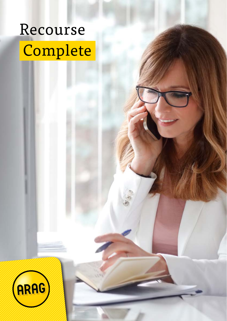# Recourse Complete

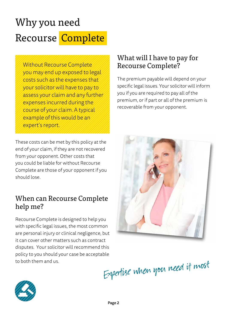## Why you need Recourse Complete

Without Recourse Complete you may end up exposed to legal costs such as the expenses that your solicitor will have to pay to assess your claim and any further expenses incurred during the course of your claim. A typical example of this would be an expert's report.

These costs can be met by this policy at the end of your claim, if they are not recovered from your opponent. Other costs that you could be liable for without Recourse Complete are those of your opponent if you should lose.

#### When can Recourse Complete help me?

Recourse Complete is designed to help you with specific legal issues, the most common are personal injury or clinical negligence, but it can cover other matters such as contract disputes. Your solicitor will recommend this policy to you should your case be acceptable to both them and us.

### What will I have to pay for Recourse Complete?

The premium payable will depend on your specific legal issues. Your solicitor will inform you if you are required to pay all of the premium, or if part or all of the premium is recoverable from your opponent.



Expertise when you need it most

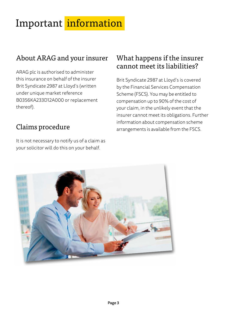## Important information

## About ARAG and your insurer

ARAG plc is authorised to administer this insurance on behalf of the insurer Brit Syndicate 2987 at Lloyd's (written under unique market reference B0356KA233D12A000 or replacement thereof).

## Claims procedure

It is not necessary to notify us of a claim as your solicitor will do this on your behalf.

#### What happens if the insurer cannot meet its liabilities?

Brit Syndicate 2987 at Lloyd's is covered by the Financial Services Compensation Scheme (FSCS). You may be entitled to compensation up to 90% of the cost of your claim, in the unlikely event that the insurer cannot meet its obligations. Further information about compensation scheme arrangements is available from the FSCS.

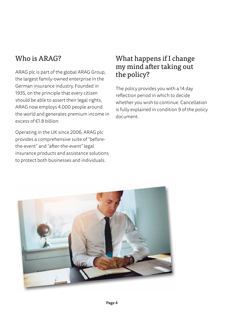### Who is ARAG?

ARAG plc is part of the global ARAG Group, the largest family-owned enterprise in the German insurance industry. Founded in 1935, on the principle that every citizen should be able to assert their legal rights, ARAG now employs 4,000 people around the world and generates premium income in excess of €1.8 billion

Operating in the UK since 2006, ARAG plc provides a comprehensive suite of "beforethe-event" and "after-the-event" legal insurance products and assistance solutions to protect both businesses and individuals.

### What happens if I change my mind after taking out the policy?

The policy provides you with a 14 day reflection period in which to decide whether you wish to continue. Cancellation is fully explained in condition 9 of the policy document.

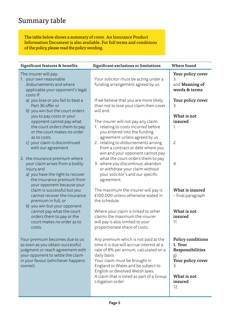#### Summary table

The table below shows a summary of cover. An Insurance Product Information Document is also available. For full terms and conditions of the policy, please read the policy wording.

| Significant exclusions or limitations                                                                                                                                                                                                                                                            | Where found                                                                                                 |
|--------------------------------------------------------------------------------------------------------------------------------------------------------------------------------------------------------------------------------------------------------------------------------------------------|-------------------------------------------------------------------------------------------------------------|
| Your solicitor must be acting under a<br>funding arrangement agreed by us.                                                                                                                                                                                                                       | Your policy cover<br>3.<br>and Meaning of<br>words & terms                                                  |
| If we believe that you are more likely<br>than not to lose your claim then cover<br>will end.                                                                                                                                                                                                    | Your policy cover<br>3.                                                                                     |
| The insurer will not pay any claim:<br>1. relating to costs incurred before<br>you entered into the funding                                                                                                                                                                                      | What is not<br>insured<br>1.                                                                                |
| 2. relating to disbursements arising<br>from a contract or debt where you<br>win and your opponent cannot pay                                                                                                                                                                                    | 2.                                                                                                          |
| what the court orders them to pay<br>3. where you discontinue, abandon<br>or withdraw your claim without<br>your solicitor's and our specific<br>agreement.                                                                                                                                      | 4.                                                                                                          |
| The maximum the insurer will pay is<br>£100,000 unless otherwise stated in<br>the schedule.                                                                                                                                                                                                      | What is insured<br>- final paragraph                                                                        |
| Where your claim is linked to other<br>claims the maximum the insurer<br>will pay is also limited to your<br>proportionate share of costs.                                                                                                                                                       | What is not<br>insured<br>11.                                                                               |
| Any premium which is not paid at the<br>time it is due will accrue interest at a<br>rate of 8% per annum, calculated on a<br>daily basis.<br>Your claim must be brought in<br>England or Wales and be subject to<br>English or devolved Welsh laws.<br>A claim that is listed as part of a Group | Policy conditions<br>1. Your<br>Responsibilities<br>g)<br>Your policy cover<br>3.<br>What is not<br>insured |
|                                                                                                                                                                                                                                                                                                  | agreement unless agreed by us<br>Litigation order.                                                          |